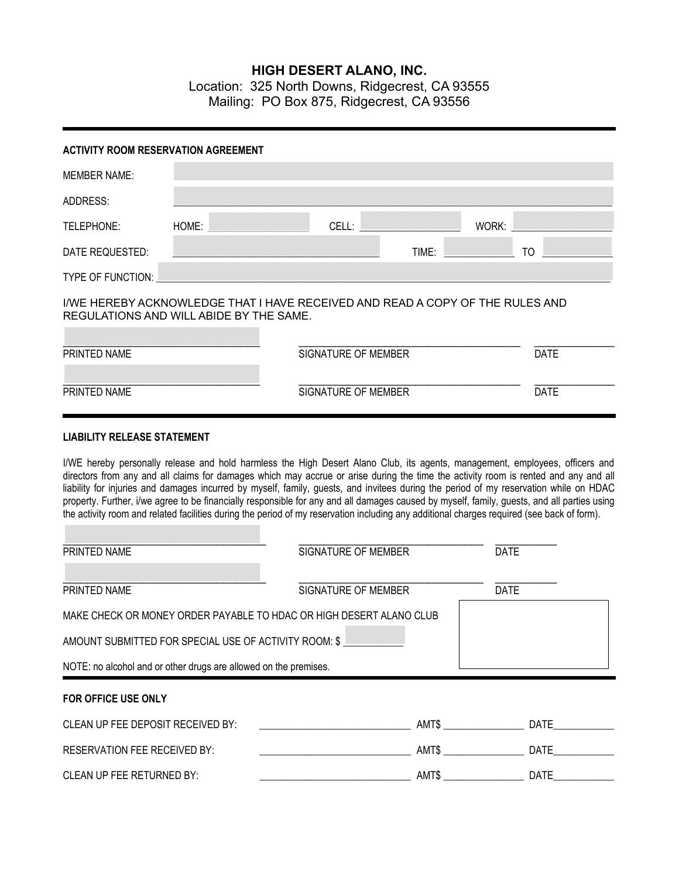## **HIGH DESERT ALANO, INC.**

Location: 325 North Downs, Ridgecrest, CA 93555 Mailing: PO Box 875, Ridgecrest, CA 93556

| <b>ACTIVITY ROOM RESERVATION AGREEMENT</b>                       |       |                                                                                                                                                                                                                                                                                                                                                                                                                                                                                                                                                                                                                                                                                                           |       |             |             |
|------------------------------------------------------------------|-------|-----------------------------------------------------------------------------------------------------------------------------------------------------------------------------------------------------------------------------------------------------------------------------------------------------------------------------------------------------------------------------------------------------------------------------------------------------------------------------------------------------------------------------------------------------------------------------------------------------------------------------------------------------------------------------------------------------------|-------|-------------|-------------|
| <b>MEMBER NAME:</b>                                              |       |                                                                                                                                                                                                                                                                                                                                                                                                                                                                                                                                                                                                                                                                                                           |       |             |             |
| ADDRESS:                                                         |       |                                                                                                                                                                                                                                                                                                                                                                                                                                                                                                                                                                                                                                                                                                           |       |             |             |
| TELEPHONE:                                                       | HOME: | CELL:                                                                                                                                                                                                                                                                                                                                                                                                                                                                                                                                                                                                                                                                                                     |       | WORK:       |             |
| DATE REQUESTED:                                                  |       |                                                                                                                                                                                                                                                                                                                                                                                                                                                                                                                                                                                                                                                                                                           | TIME: | TO          |             |
| TYPE OF FUNCTION:                                                |       |                                                                                                                                                                                                                                                                                                                                                                                                                                                                                                                                                                                                                                                                                                           |       |             |             |
| REGULATIONS AND WILL ABIDE BY THE SAME.                          |       | I/WE HEREBY ACKNOWLEDGE THAT I HAVE RECEIVED AND READ A COPY OF THE RULES AND                                                                                                                                                                                                                                                                                                                                                                                                                                                                                                                                                                                                                             |       |             |             |
| <b>PRINTED NAME</b>                                              |       | <b>SIGNATURE OF MEMBER</b>                                                                                                                                                                                                                                                                                                                                                                                                                                                                                                                                                                                                                                                                                |       |             | <b>DATE</b> |
| PRINTED NAME<br><b>LIABILITY RELEASE STATEMENT</b>               |       | <b>SIGNATURE OF MEMBER</b>                                                                                                                                                                                                                                                                                                                                                                                                                                                                                                                                                                                                                                                                                |       |             | <b>DATE</b> |
|                                                                  |       | I/WE hereby personally release and hold harmless the High Desert Alano Club, its agents, management, employees, officers and<br>directors from any and all claims for damages which may accrue or arise during the time the activity room is rented and any and all<br>liability for injuries and damages incurred by myself, family, guests, and invitees during the period of my reservation while on HDAC<br>property. Further, i/we agree to be financially responsible for any and all damages caused by myself, family, guests, and all parties using<br>the activity room and related facilities during the period of my reservation including any additional charges required (see back of form). |       |             |             |
| PRINTED NAME                                                     |       | SIGNATURE OF MEMBER                                                                                                                                                                                                                                                                                                                                                                                                                                                                                                                                                                                                                                                                                       |       | <b>DATE</b> |             |
| PRINTED NAME                                                     |       | SIGNATURE OF MEMBER                                                                                                                                                                                                                                                                                                                                                                                                                                                                                                                                                                                                                                                                                       |       | <b>DATE</b> |             |
|                                                                  |       | MAKE CHECK OR MONEY ORDER PAYABLE TO HDAC OR HIGH DESERT ALANO CLUB                                                                                                                                                                                                                                                                                                                                                                                                                                                                                                                                                                                                                                       |       |             |             |
| AMOUNT SUBMITTED FOR SPECIAL USE OF ACTIVITY ROOM: \$            |       |                                                                                                                                                                                                                                                                                                                                                                                                                                                                                                                                                                                                                                                                                                           |       |             |             |
| NOTE: no alcohol and or other drugs are allowed on the premises. |       |                                                                                                                                                                                                                                                                                                                                                                                                                                                                                                                                                                                                                                                                                                           |       |             |             |

## **FOR OFFICE USE ONLY**

| CLEAN UP FEE DEPOSIT RECEIVED BY: | AMT\$ | DATE |
|-----------------------------------|-------|------|
| RESERVATION FEE RECEIVED BY:      | AMT\$ | DATE |
| CLEAN UP FEE RETURNED BY:         | AMT\$ | DATE |